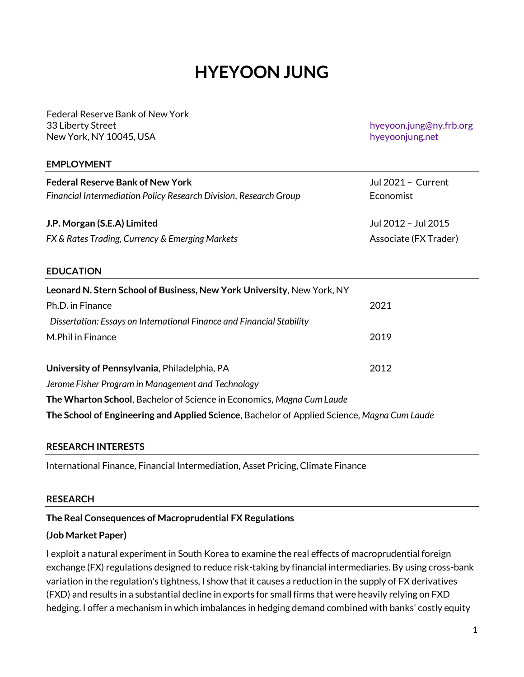# **HYEYOON JUNG**

Federal Reserve Bank of New York 33 Liberty Street New York, NY 10045, USA

hyeyoon.jung@ny.frb.org [hyeyoonjung.net](https://hyeyoonjung.net/)

### **EMPLOYMENT**

| <b>Federal Reserve Bank of New York</b><br>Financial Intermediation Policy Research Division, Research Group | Jul 2021 - Current<br>Economist |
|--------------------------------------------------------------------------------------------------------------|---------------------------------|
| J.P. Morgan (S.E.A) Limited                                                                                  | Jul 2012 - Jul 2015             |
| FX & Rates Trading, Currency & Emerging Markets                                                              | Associate (FX Trader)           |

#### **EDUCATION**

| Leonard N. Stern School of Business, New York University, New York, NY                      |      |  |
|---------------------------------------------------------------------------------------------|------|--|
| Ph.D. in Finance                                                                            | 2021 |  |
| Dissertation: Essays on International Finance and Financial Stability                       |      |  |
| M.Phil in Finance                                                                           | 2019 |  |
|                                                                                             |      |  |
| University of Pennsylvania, Philadelphia, PA                                                | 2012 |  |
| Jerome Fisher Program in Management and Technology                                          |      |  |
| The Wharton School, Bachelor of Science in Economics, Magna Cum Laude                       |      |  |
| The School of Engineering and Applied Science, Bachelor of Applied Science, Magna Cum Laude |      |  |

### **RESEARCH INTERESTS**

International Finance, Financial Intermediation, Asset Pricing, Climate Finance

#### **RESEARCH**

#### **The Real Consequences of Macroprudential FX Regulations**

#### **(Job Market Paper)**

I exploit a natural experiment in South Korea to examine the real effects of macroprudential foreign exchange (FX) regulations designed to reduce risk-taking by financial intermediaries. By using cross-bank variation in the regulation's tightness, I show that it causes a reduction in the supply of FX derivatives (FXD) and results in a substantial decline in exports for small firms that were heavily relying on FXD hedging. I offer a mechanism in which imbalances in hedging demand combined with banks' costly equity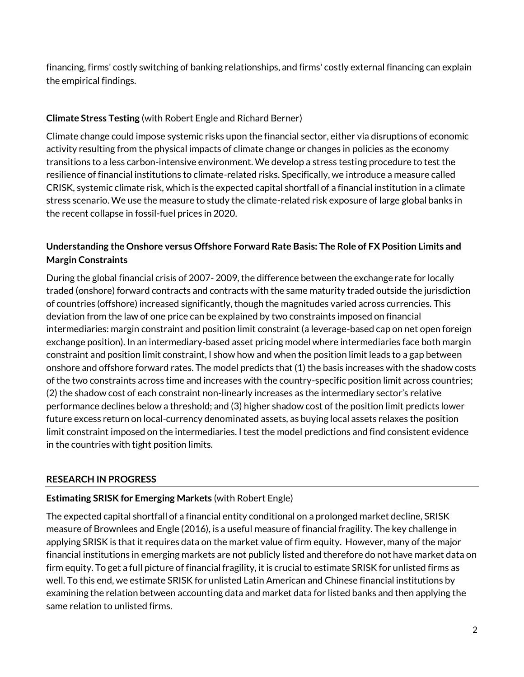financing, firms' costly switching of banking relationships, and firms' costly external financing can explain the empirical findings.

# **Climate Stress Testing** (with Robert Engle and Richard Berner)

Climate change could impose systemic risks upon the financial sector, either via disruptions of economic activity resulting from the physical impacts of climate change or changes in policies as the economy transitions to a less carbon-intensive environment. We develop a stress testing procedure to test the resilience of financial institutions to climate-related risks. Specifically, we introduce a measure called CRISK, systemic climate risk, which is the expected capital shortfall of a financial institution in a climate stress scenario. We use the measure to study the climate-related risk exposure of large global banks in the recent collapse in fossil-fuel prices in 2020.

# **Understanding the Onshore versus Offshore Forward Rate Basis: The Role of FX Position Limits and Margin Constraints**

During the global financial crisis of 2007- 2009, the difference between the exchange rate for locally traded (onshore) forward contracts and contracts with the same maturity traded outside the jurisdiction of countries (offshore) increased significantly, though the magnitudes varied across currencies. This deviation from the law of one price can be explained by two constraints imposed on financial intermediaries: margin constraint and position limit constraint (a leverage-based cap on net open foreign exchange position). In an intermediary-based asset pricing model where intermediaries face both margin constraint and position limit constraint, I show how and when the position limit leads to a gap between onshore and offshore forward rates. The model predicts that (1) the basis increases with the shadow costs of the two constraints across time and increases with the country-specific position limit across countries; (2) the shadow cost of each constraint non-linearly increases as the intermediary sector's relative performance declines below a threshold; and (3) higher shadow cost of the position limit predicts lower future excess return on local-currency denominated assets, as buying local assets relaxes the position limit constraint imposed on the intermediaries. I test the model predictions and find consistent evidence in the countries with tight position limits.

# **RESEARCH IN PROGRESS**

## **Estimating SRISK for Emerging Markets** (with Robert Engle)

The expected capital shortfall of a financial entity conditional on a prolonged market decline, SRISK measure of Brownlees and Engle (2016), is a useful measure of financial fragility. The key challenge in applying SRISK is that it requires data on the market value of firm equity. However, many of the major financial institutions in emerging markets are not publicly listed and therefore do not have market data on firm equity. To get a full picture of financial fragility, it is crucial to estimate SRISK for unlisted firms as well. To this end, we estimate SRISK for unlisted Latin American and Chinese financial institutions by examining the relation between accounting data and market data for listed banks and then applying the same relation to unlisted firms.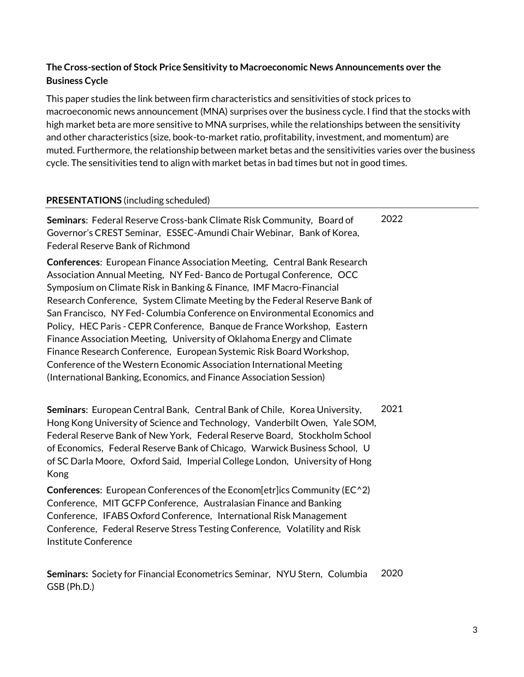# **The Cross-section of Stock Price Sensitivity to Macroeconomic News Announcements over the Business Cycle**

This paper studies the link between firm characteristics and sensitivities of stock prices to macroeconomic news announcement (MNA) surprises over the business cycle. I find that the stocks with high market beta are more sensitive to MNA surprises, while the relationships between the sensitivity and other characteristics (size, book-to-market ratio, profitability, investment, and momentum) are muted. Furthermore, the relationship between market betas and the sensitivities varies over the business cycle. The sensitivities tend to align with market betas in bad times but not in good times.

### **PRESENTATIONS** (including scheduled)

**Seminars**: Federal Reserve Cross-bank Climate Risk Community, Board of Governor's CREST Seminar, ESSEC-Amundi Chair Webinar, Bank of Korea, Federal Reserve Bank of Richmond 2022

**Conferences**: European Finance Association Meeting, Central Bank Research Association Annual Meeting, NY Fed- Banco de Portugal Conference, OCC Symposium on Climate Risk in Banking & Finance, IMF Macro-Financial Research Conference, System Climate Meeting by the Federal Reserve Bank of San Francisco, NY Fed- Columbia Conference on Environmental Economics and Policy, HEC Paris - CEPR Conference, Banque de France Workshop, Eastern Finance Association Meeting, University of Oklahoma Energy and Climate Finance Research Conference, European Systemic Risk Board Workshop, Conference of the Western Economic Association International Meeting (International Banking, Economics, and Finance Association Session)

**Seminars**: European Central Bank, Central Bank of Chile, Korea University, Hong Kong University of Science and Technology, Vanderbilt Owen, Yale SOM, Federal Reserve Bank of New York, Federal Reserve Board, Stockholm School of Economics, Federal Reserve Bank of Chicago, Warwick Business School, U of SC Darla Moore, Oxford Said, Imperial College London, University of Hong Kong 2021

**Conferences**: European Conferences of the Econom[etr]ics Community (EC^2) Conference, MIT GCFP Conference, Australasian Finance and Banking Conference, IFABS Oxford Conference, International Risk Management Conference, Federal Reserve Stress Testing Conference, Volatility and Risk Institute Conference

**Seminars:** Society for Financial Econometrics Seminar, NYU Stern, Columbia GSB (Ph.D.) 2020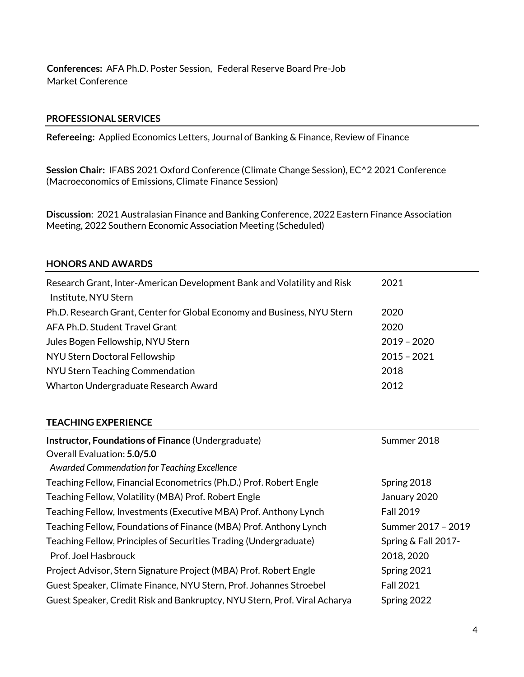**Conferences:** AFA Ph.D. Poster Session, Federal Reserve Board Pre-Job Market Conference

### **PROFESSIONAL SERVICES**

**Refereeing:** Applied Economics Letters, Journal of Banking & Finance, Review of Finance

**Session Chair:** IFABS 2021 Oxford Conference (Climate Change Session), EC^2 2021 Conference (Macroeconomics of Emissions, Climate Finance Session)

**Discussion**: 2021 Australasian Finance and Banking Conference, 2022 Eastern Finance Association Meeting, 2022 Southern Economic Association Meeting (Scheduled)

#### **HONORS AND AWARDS**

| Research Grant, Inter-American Development Bank and Volatility and Risk | 2021          |
|-------------------------------------------------------------------------|---------------|
| Institute, NYU Stern                                                    |               |
| Ph.D. Research Grant, Center for Global Economy and Business, NYU Stern | 2020          |
| AFA Ph.D. Student Travel Grant                                          | 2020          |
| Jules Bogen Fellowship, NYU Stern                                       | $2019 - 2020$ |
| NYU Stern Doctoral Fellowship                                           | $2015 - 2021$ |
| NYU Stern Teaching Commendation                                         | 2018          |
| Wharton Undergraduate Research Award                                    | 2012          |
|                                                                         |               |

### **TEACHING EXPERIENCE**

| Instructor, Foundations of Finance (Undergraduate)                        | Summer 2018         |
|---------------------------------------------------------------------------|---------------------|
| Overall Evaluation: 5.0/5.0                                               |                     |
| Awarded Commendation for Teaching Excellence                              |                     |
| Teaching Fellow, Financial Econometrics (Ph.D.) Prof. Robert Engle        | Spring 2018         |
| Teaching Fellow, Volatility (MBA) Prof. Robert Engle                      | January 2020        |
| Teaching Fellow, Investments (Executive MBA) Prof. Anthony Lynch          | <b>Fall 2019</b>    |
| Teaching Fellow, Foundations of Finance (MBA) Prof. Anthony Lynch         | Summer 2017 - 2019  |
| Teaching Fellow, Principles of Securities Trading (Undergraduate)         | Spring & Fall 2017- |
| Prof. Joel Hasbrouck                                                      | 2018, 2020          |
| Project Advisor, Stern Signature Project (MBA) Prof. Robert Engle         | Spring 2021         |
| Guest Speaker, Climate Finance, NYU Stern, Prof. Johannes Stroebel        | <b>Fall 2021</b>    |
| Guest Speaker, Credit Risk and Bankruptcy, NYU Stern, Prof. Viral Acharya | Spring 2022         |